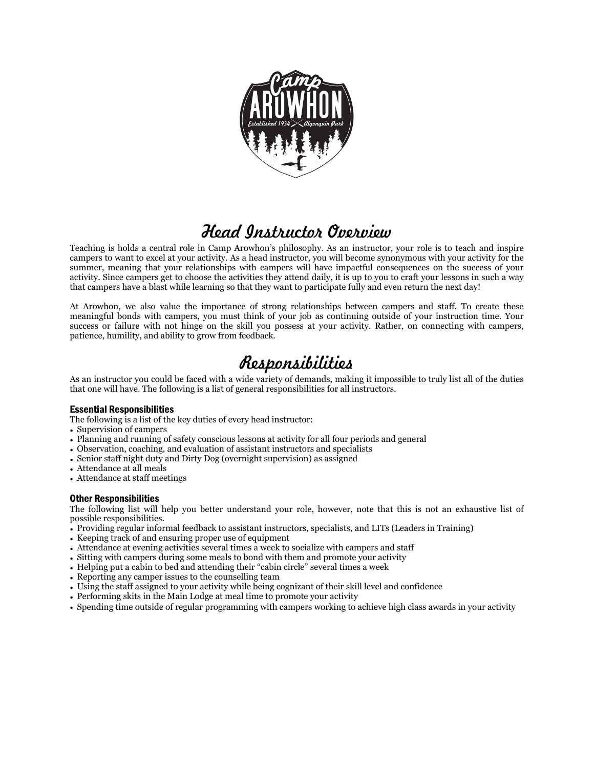

# *Head Instructor Overview*

Teaching is holds a central role in Camp Arowhon's philosophy. As an instructor, your role is to teach and inspire campers to want to excel at your activity. As a head instructor, you will become synonymous with your activity for the summer, meaning that your relationships with campers will have impactful consequences on the success of your activity. Since campers get to choose the activities they attend daily, it is up to you to craft your lessons in such a way that campers have a blast while learning so that they want to participate fully and even return the next day!

At Arowhon, we also value the importance of strong relationships between campers and staff. To create these meaningful bonds with campers, you must think of your job as continuing outside of your instruction time. Your success or failure with not hinge on the skill you possess at your activity. Rather, on connecting with campers, patience, humility, and ability to grow from feedback.

# *Responsibilities*

As an instructor you could be faced with a wide variety of demands, making it impossible to truly list all of the duties that one will have. The following is a list of general responsibilities for all instructors.

### Essential Responsibilities

The following is a list of the key duties of every head instructor:

- Supervision of campers
- Planning and running of safety conscious lessons at activity for all four periods and general
- Observation, coaching, and evaluation of assistant instructors and specialists
- Senior staff night duty and Dirty Dog (overnight supervision) as assigned
- Attendance at all meals
- Attendance at staff meetings

### Other Responsibilities

The following list will help you better understand your role, however, note that this is not an exhaustive list of possible responsibilities.

- Providing regular informal feedback to assistant instructors, specialists, and LITs (Leaders in Training)
- Keeping track of and ensuring proper use of equipment
- Attendance at evening activities several times a week to socialize with campers and staff
- Sitting with campers during some meals to bond with them and promote your activity
- Helping put a cabin to bed and attending their "cabin circle" several times a week
- Reporting any camper issues to the counselling team
- Using the staff assigned to your activity while being cognizant of their skill level and confidence
- Performing skits in the Main Lodge at meal time to promote your activity
- Spending time outside of regular programming with campers working to achieve high class awards in your activity